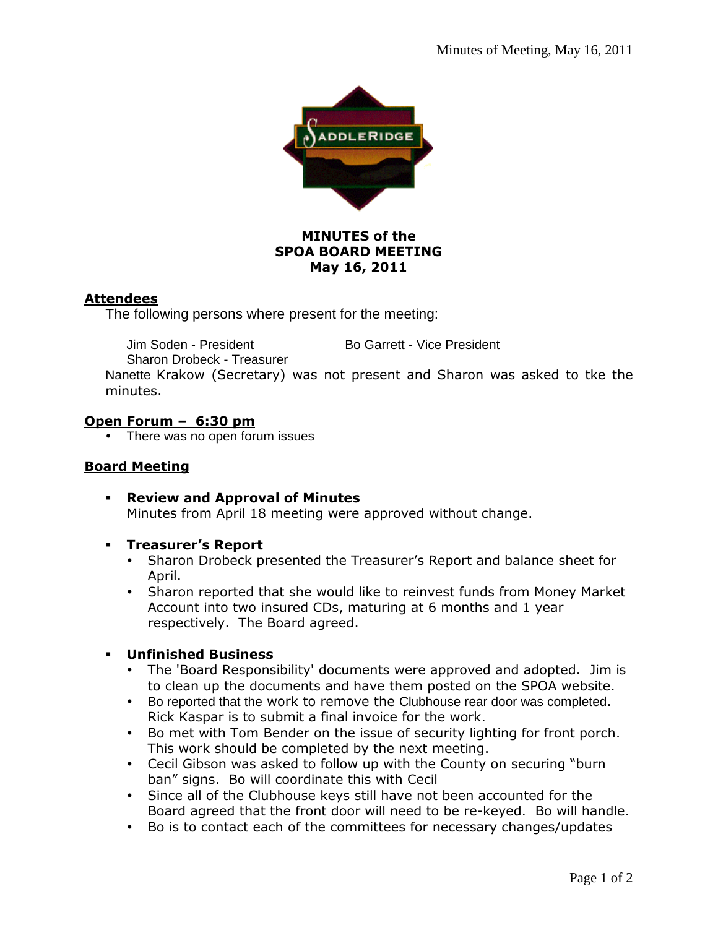

# **MINUTES of the SPOA BOARD MEETING May 16, 2011**

# **Attendees**

The following persons where present for the meeting:

Jim Soden - President Bo Garrett - Vice President

Sharon Drobeck - Treasurer

Nanette Krakow (Secretary) was not present and Sharon was asked to tke the minutes.

# **Open Forum – 6:30 pm**

• There was no open forum issues

## **Board Meeting**

 **Review and Approval of Minutes**  Minutes from April 18 meeting were approved without change.

## **Treasurer's Report**

- Sharon Drobeck presented the Treasurer's Report and balance sheet for April.
- Sharon reported that she would like to reinvest funds from Money Market Account into two insured CDs, maturing at 6 months and 1 year respectively. The Board agreed.
- **Unfinished Business** 
	- The 'Board Responsibility' documents were approved and adopted. Jim is to clean up the documents and have them posted on the SPOA website.
	- Bo reported that the work to remove the Clubhouse rear door was completed. Rick Kaspar is to submit a final invoice for the work.
	- Bo met with Tom Bender on the issue of security lighting for front porch. This work should be completed by the next meeting.
	- Cecil Gibson was asked to follow up with the County on securing "burn ban" signs. Bo will coordinate this with Cecil
	- Since all of the Clubhouse keys still have not been accounted for the Board agreed that the front door will need to be re-keyed. Bo will handle.
	- Bo is to contact each of the committees for necessary changes/updates